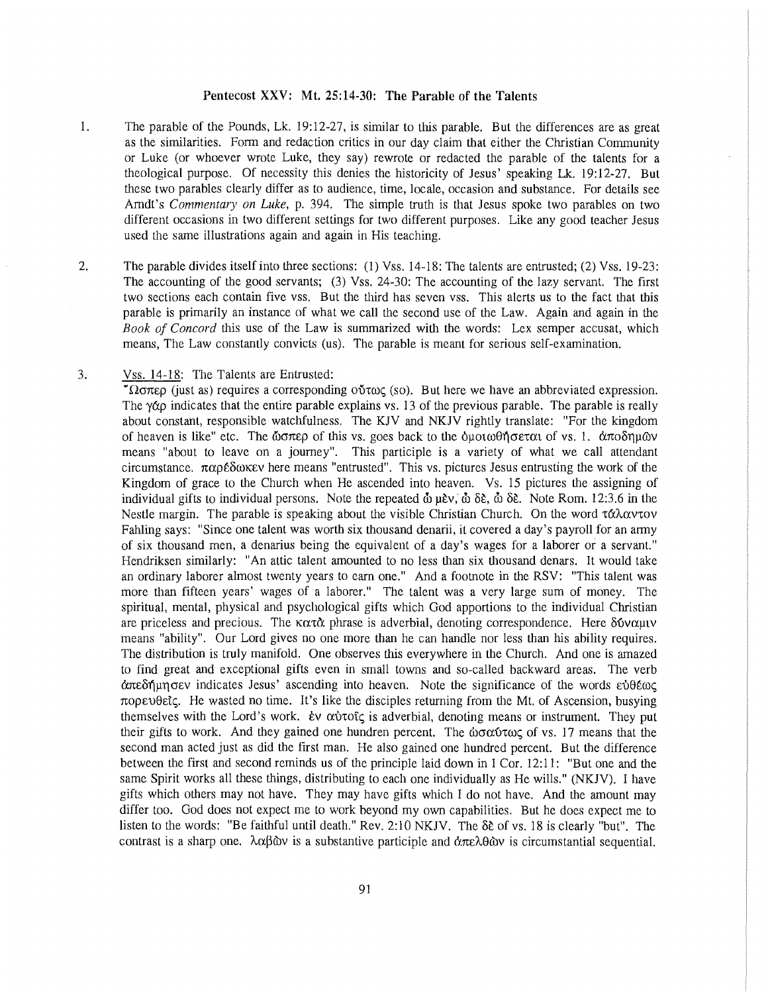## **Pentecost XXV: Mt. 25:14-30: The Parable of the Talents**

- 1. The parable of the Pounds, Lk. 19:12-27, is similar to this parable. But the differences are as great as the similarities. Form and redaction critics in our day claim that either the Christian Community or Luke (or whoever wrote Luke, they say) rewrote or redacted the parable of the talents for a theological purpose. Of necessity this denies the historicity of Jesus' speaking Lk. 19:12-27. But these two parables clearly differ as to audience, time, locale, occasion and substance. For details see Amdt's *Commentary on Luke,* p. 394. The simple truth is that Jesus spoke two parables on two different occasions in two different settings for two different purposes. Like any good teacher Jesus used the same illustrations again and again in His teaching.
- 2. The parable divides itself into three sections: (1) Vss. 14-18: The talents are entrusted; (2) Vss. 19-23: The accounting of the good servants; (3) Vss. 24-30: The accounting of the lazy servant. The first two sections each contain five vss. But the third has seven vss. This alerts us to the fact that this parable is primarily an instance of what we call the second use of the Law. Again and again in the *Book of Concord* this use of the Law is summarized with the words: Lex semper accusat, which means, The Law constantly convicts (us). The parable is meant for serious self-examination.
- 3. Vss. 14-18: The Talents are Entrusted:

**worch:** (just as) requires a corresponding ούτως (so). But here we have an abbreviated expression. The  $\gamma \alpha$  indicates that the entire parable explains vs. 13 of the previous parable. The parable is really about constant, responsible watchfulness. The KJV and NKJV rightly translate: "For the kingdom of heaven is like" etc. The  $\omega \sigma \pi \epsilon \rho$  of this vs. goes back to the  $\omega \sigma \phi$  of vs. 1.  $\alpha \pi \sigma \delta \eta \mu \omega$ means "about to leave on a journey". This participle is a variety of what we call attendant circumstance.  $\pi\alpha\rho\epsilon\delta\omega\kappa\epsilon\mathsf{v}$  here means "entrusted". This vs. pictures Jesus entrusting the work of the Kingdom of grace to the Church when He ascended into heaven. Vs. 15 pictures the assigning of individual gifts to individual persons. Note the repeated  $\dot{\phi}$   $\mu \dot{\epsilon}$ ,  $\dot{\phi}$   $\delta \dot{\epsilon}$ ,  $\dot{\phi}$   $\delta \dot{\epsilon}$ . Note Rom. 12:3.6 in the Nestle margin. The parable is speaking about the visible Christian Church. On the word τάλαντον Fabling says: "Since one talent was worth six thousand denarii, it covered a day's payroll for an army of six thousand men, a denarius being the equivalent of a day's wages for a laborer or a servant." Hendriksen similarly: "An attic talent amounted to no less than six thousand denars. It would take an ordinary laborer almost twenty years to earn one." And a footnote in the RSV: "This talent was more than fifteen years' wages of a laborer." The talent was a very large sum of money. The spiritual, mental, physical and psychological gifts which God apportions to the individual Christian are priceless and precious. The  $\kappa \alpha \tau \alpha$  phrase is adverbial, denoting correspondence. Here  $\delta \omega \alpha \mu \nu$ means "ability". Our Lord gives no one more than he can handle nor less than his ability requires. The distribution is truly manifold. One observes this everywhere in the Church. And one is amazed to find great and exceptional gifts even in small towns and so-called backward areas. The verb  $\alpha$ πεδήμησεν indicates Jesus' ascending into heaven. Note the significance of the words εύθέως  $\pi$ op $\epsilon$ U $\epsilon$ . He wasted no time. It's like the disciples returning from the Mt. of Ascension, busying themselves with the Lord's work. *tv crivtofic* is adverbial, denoting means or instrument. They put their gifts to work. And they gained one hundren percent. The  $\omega\sigma\alpha\omega\tau\omega\varsigma$  of vs. 17 means that the second man acted just as did the first man. He also gained one hundred percent. But the difference between the first and second reminds us of the principle laid down in I Cor. 12:11: "But one and the same Spirit works all these things, distributing to each one individually as He wills." (NKJV). I have gifts which others may not have. They may have gifts which I do not have. And the amount may differ too. God does not expect me to work beyond my own capabilities. But he does expect me to listen to the words: "Be faithful until death." Rev. 2:10 NKJV. The  $\delta \xi$  of vs. 18 is clearly "but". The contrast is a sharp one.  $\lambda \alpha \beta \dot{\alpha}$  is a substantive participle and  $\dot{\alpha} \pi \epsilon \lambda \theta \dot{\alpha}$  is circumstantial sequential.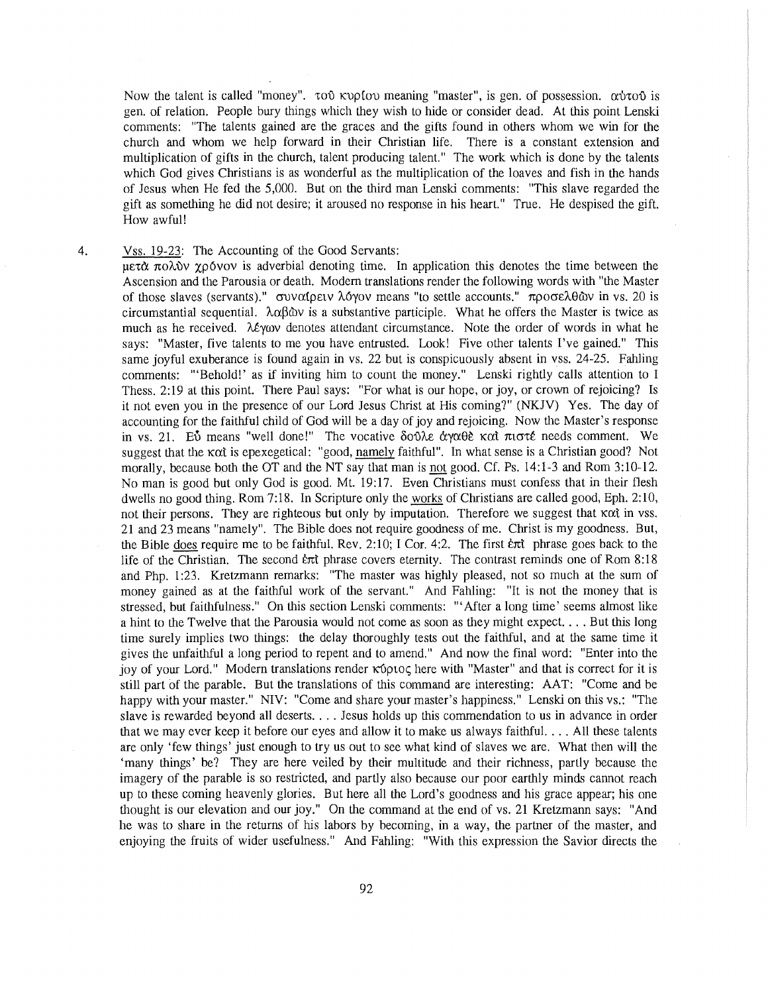Now the talent is called "money".  $\tau \circ \mathfrak{d}$  kvp{ov meaning "master", is gen. of possession.  $\alpha \dot{\beta}$  is gen. of relation. People bury things which they wish to hide or consider dead. At this point Lenski comments: "The talents gained are the graces and the gifts found in others whom we win for the church and whom we help forward in their Christian life. There is a constant extension and multiplication of gifts in the church, talent producing talent." The work which is done by the talents which God gives Christians is as wonderful as the multiplication of the loaves and fish in the hands of Jesus when He fed the 5,000. But on the third man Lenski comments: "This slave regarded the gift as something he did not desire; it aroused no response in his heart." True. He despised the gift. How awful!

4. Vss. 19-23: The Accounting of the Good Servants:

 $\overline{\text{perd}\alpha}$   $\pi$ o $\lambda$   $\delta$  v  $\gamma$  $\rho$  over is adverbial denoting time. In application this denotes the time between the Ascension and the Parousia or death. Modem translations render the following words with "the Master of those slaves (servants)."  $\sigma$  v $\alpha$ ( $\rho$  ev $\lambda$  Myov means "to settle accounts."  $\pi \rho$  or  $\epsilon \lambda \theta$   $\alpha$  is  $\alpha$  is circumstantial sequential.  $\lambda \alpha \beta \dot{\alpha}$  is a substantive participle. What he offers the Master is twice as much as he received. λέγων denotes attendant circumstance. Note the order of words in what he says: "Master, five talents to me you have entrusted. Look! Five other talents I've gained." This same joyful exuberance is found again in vs. 22 but is conspicuously absent in vss. 24-25. Fahling comments: "'Behold!' as if inviting him to count the money." Lenski rightly calls attention to I Thess. 2:19 at this point. There Paul says: "For what is our hope, or joy, or crown of rejoicing? Is it not even you in the presence of our Lord Jesus Christ at His coming?" (NKJV) Yes. The day of accounting for the faithful child of God will be a day of joy and rejoicing. Now the Master's response in vs. 21. EV means "well done!" The vocative  $\delta$ oV $\lambda \epsilon$   $\dot{\alpha}$   $\gamma \alpha \theta \epsilon$  kat  $\pi$ uoté needs comment. We suggest that the kot is epexegetical: "good, namely faithful". In what sense is a Christian good? Not morally, because both the OT and the NT say that man is not good. Cf. Ps. 14:1-3 and Rom 3:10-12. No man is good but only God is good. Mt. 19:17. Even Christians must confess that in their flesh dwells no good thing. Rom 7:18. In Scripture only the works of Christians are called good, Eph. 2:10, not their persons. They are righteous but only by imputation. Therefore we suggest that  $K\alpha t$  in vss. 21 and 23 means "namely". The Bible does not require goodness of me. Christ is my goodness. But, the Bible does require me to be faithful. Rev. 2:10; I Cor. 4:2. The first  $\ell \pi i$  phrase goes back to the life of the Christian. The second  $\epsilon \pi i$  phrase covers eternity. The contrast reminds one of Rom 8:18 and Php. 1:23. Kretzmann remarks: "The master was highly pleased, not so much at the sum of money gained as at the faithful work of the servant." And Fabling: "It is not the money that is stressed, but faithfulness." On this section Lenski comments: '"After a long time' seems almost like a hint to the Twelve that the Parousia would not come as soon as they might expect. ... But this long time surely implies two things: the delay thoroughly tests out the faithful, and at the same time it gives the unfaithful a long period to repent and to amend." And now the final word: "Enter into the joy of your Lord." Modern translations render κύριος here with "Master" and that is correct for it is still part of the parable. But the translations of this command are interesting: AAT: "Come and be happy with your master." NIV: "Come and share your master's happiness." Lenski on this vs.: "The slave is rewarded beyond all deserts .... Jesus holds up this commendation to us in advance in order that we may ever keep it before our eyes and allow it to make us always faithful. ... All these talents are only 'few things' just enough to try us out to see what kind of slaves we are. What then will the 'many things' be? They are here veiled by their multitude and their richness, partly because the imagery of the parable is so restricted, and partly also because our poor earthly minds cannot reach up to these coming heavenly glories. But here all the Lord's goodness and his grace appear; his one thought is our elevation and our joy." On the command at the end of vs. 21 Kretzmann says: "And he was to share in the returns of his labors by becoming, in a way, the partner of the master, and enjoying the fruits of wider usefulness." And Fabling: "With this expression the Savior directs the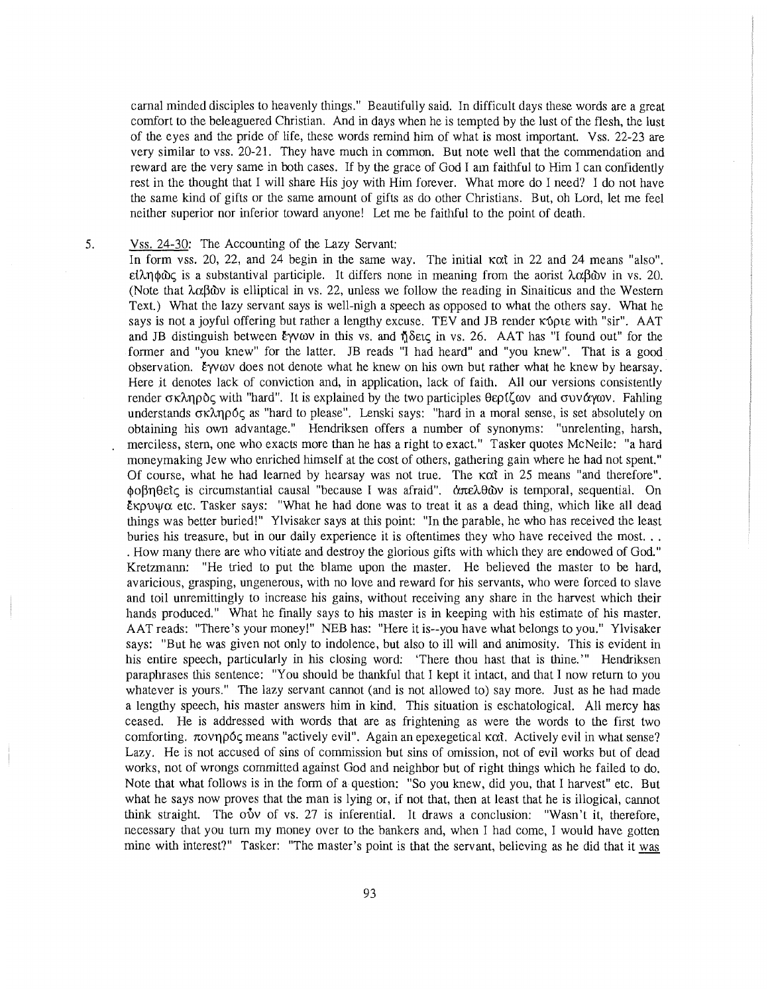carnal minded disciples to heavenly things." Beautifully said. In difficult days these words are a great comfort to the beleaguered Christian. And in days when he is tempted by the lust of the flesh, the lust of the eyes and the pride of life, these words remind him of what is most important. Vss. 22-23 are very similar to vss. 20-21. They have much in common. But note well that the commendation and reward are the very same in both cases. If by the grace of God I am faithful to Him I can confidently rest in the thought that I will share His joy with Him forever. What more do I need? I do not have the same kind of gifts or the same amount of gifts as do other Christians. But, oh Lord, let me feel neither superior nor inferior toward anyone! Let me be faithful to the point of death.

## 5. Vss. 24-30: The Accounting of the Lazy Servant:

In form vss. 20, 22, and 24 begin in the same way. The initial  $\kappa \alpha t$  in 22 and 24 means "also".  $\epsilon\lambda$ ηφώς is a substantival participle. It differs none in meaning from the aorist  $\lambda\alpha\beta\omega$  in vs. 20. (Note that  $\lambda \alpha \beta \omega$  is elliptical in vs. 22, unless we follow the reading in Sinaiticus and the Western Text.) What the lazy servant says is well-nigh a speech as opposed to what the others say. What he says is not a joyful offering but rather a lengthy excuse. TEV and JB render  $\kappa$  to with "sir". AAT and JB distinguish between Eyvov in this vs. and  $\delta$  octc; in vs. 26. AAT has "I found out" for the former and "you knew" for the latter. JB reads "I had heard" and "you knew". That is a good observation. Eyvov does not denote what he knew on his own but rather what he knew by hearsay. Here jt denotes lack of conviction and, in application, lack of faith. All our versions consistently render  $\sigma \kappa \lambda \eta \rho \delta c$ , with "hard". It is explained by the two participles  $\theta \epsilon \rho f \zeta \omega v$  and  $\sigma \nu \alpha \gamma \omega v$ . Fahling understands  $\sigma \kappa \lambda \eta \rho \delta \zeta$  as "hard to please". Lenski says: "hard in a moral sense, is set absolutely on obtaining his own advantage." Hendriksen offers a number of synonyms: "unrelenting, harsh, merciless, stern, one who exacts more than he has a right to exact." Tasker quotes McNeile: "a hard moneymaking Jew who enriched himself at the cost of others, gathering gain where he had not spent." Of course, what he had learned by hearsay was not true. The  $\kappa \alpha t$  in 25 means "and therefore". φοβηθείς is circumstantial causal "because I was afraid". άπελθῶν is temporal, sequential. On  $\epsilon$ xpuy $\alpha$  etc. Tasker says: "What he had done was to treat it as a dead thing, which like all dead things was better buried!" Ylvisaker says at this point: "In the parable, he who has received the least buries his treasure, but in our daily experience it is oftentimes they who have received the most... . How many there are who vitiate and destroy the glorious gifts with which they are endowed of God." Kretzmann: "He tried to put the blame upon the master. He believed the master to be hard, avaricious, grasping, ungenerous, with no love and reward for his servants, who were forced to slave and toil unremittingly to increase his gains, without receiving any share in the harvest which their hands produced." What he finally says to his master is in keeping with his estimate of his master. AAT reads: "There's your money!" NEB has: "Here it is--you have what belongs to you." Ylvisaker says: "But he was given not only to indolence, but also to ill will and animosity. This is evident in his entire speech, particularly in his closing word: 'There thou hast that is thine.'" Hendriksen paraphrases this sentence: "You should be thankful that I kept it intact, and that I now return to you whatever is yours." The lazy servant cannot (and is not allowed to) say more. Just as he had made a lengthy speech, his master answers him in kind. This situation is eschatological. All mercy has ceased. He is addressed with words that are as frightening as were the words to the first two comforting.  $\pi$ ovn $\rho$ 6 $\zeta$  means "actively evil". Again an epexegetical  $\kappa \alpha t$ . Actively evil in what sense? Lazy. He is not accused of sins of commission but sins of omission, not of evil works but of dead works, not of wrongs committed against God and neighbor but of right things which he failed to do. Note that what follows is in the form of a question: "So you knew, did you, that I harvest" etc. But what he says now proves that the man is lying or, if not that, then at least that he is illogical, cannot think straight. The  $o\dot{v}v$  of vs. 27 is inferential. It draws a conclusion: "Wasn't it, therefore, necessary that you turn my money over to the bankers and, when I had come, I would have gotten mine with interest?" Tasker: "The master's point is that the servant, believing as he did that it was